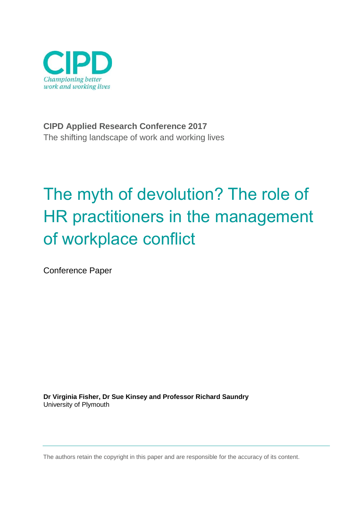

**CIPD Applied Research Conference 2017** The shifting landscape of work and working lives

# The myth of devolution? The role of HR practitioners in the management of workplace conflict

Conference Paper

**Dr Virginia Fisher, Dr Sue Kinsey and Professor Richard Saundry** University of Plymouth

The authors retain the copyright in this paper and are responsible for the accuracy of its content.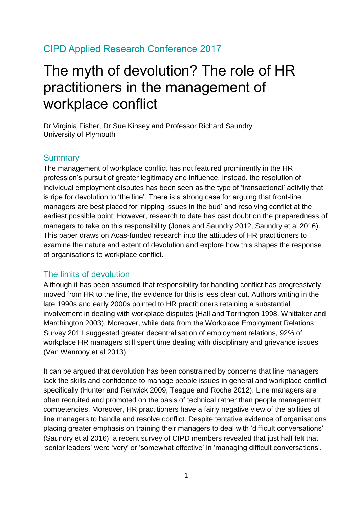### CIPD Applied Research Conference 2017

## The myth of devolution? The role of HR practitioners in the management of workplace conflict

Dr Virginia Fisher, Dr Sue Kinsey and Professor Richard Saundry University of Plymouth

#### **Summary**

The management of workplace conflict has not featured prominently in the HR profession's pursuit of greater legitimacy and influence. Instead, the resolution of individual employment disputes has been seen as the type of 'transactional' activity that is ripe for devolution to 'the line'. There is a strong case for arguing that front-line managers are best placed for 'nipping issues in the bud' and resolving conflict at the earliest possible point. However, research to date has cast doubt on the preparedness of managers to take on this responsibility (Jones and Saundry 2012, Saundry et al 2016). This paper draws on Acas-funded research into the attitudes of HR practitioners to examine the nature and extent of devolution and explore how this shapes the response of organisations to workplace conflict.

#### The limits of devolution

Although it has been assumed that responsibility for handling conflict has progressively moved from HR to the line, the evidence for this is less clear cut. Authors writing in the late 1990s and early 2000s pointed to HR practitioners retaining a substantial involvement in dealing with workplace disputes (Hall and Torrington 1998, Whittaker and Marchington 2003). Moreover, while data from the Workplace Employment Relations Survey 2011 suggested greater decentralisation of employment relations, 92% of workplace HR managers still spent time dealing with disciplinary and grievance issues (Van Wanrooy et al 2013).

It can be argued that devolution has been constrained by concerns that line managers lack the skills and confidence to manage people issues in general and workplace conflict specifically (Hunter and Renwick 2009, Teague and Roche 2012). Line managers are often recruited and promoted on the basis of technical rather than people management competencies. Moreover, HR practitioners have a fairly negative view of the abilities of line managers to handle and resolve conflict. Despite tentative evidence of organisations placing greater emphasis on training their managers to deal with 'difficult conversations' (Saundry et al 2016), a recent survey of CIPD members revealed that just half felt that 'senior leaders' were 'very' or 'somewhat effective' in 'managing difficult conversations'.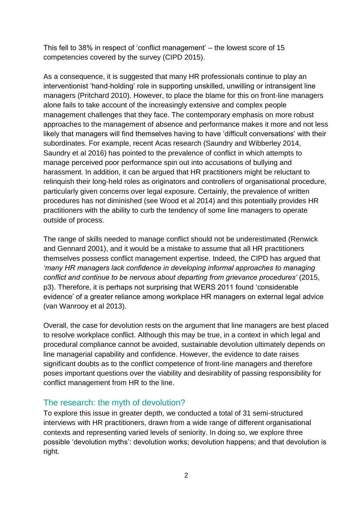This fell to 38% in respect of 'conflict management' – the lowest score of 15 competencies covered by the survey (CIPD 2015).

As a consequence, it is suggested that many HR professionals continue to play an interventionist 'hand-holding' role in supporting unskilled, unwilling or intransigent line managers (Pritchard 2010). However, to place the blame for this on front-line managers alone fails to take account of the increasingly extensive and complex people management challenges that they face. The contemporary emphasis on more robust approaches to the management of absence and performance makes it more and not less likely that managers will find themselves having to have 'difficult conversations' with their subordinates. For example, recent Acas research (Saundry and Wibberley 2014, Saundry et al 2016) has pointed to the prevalence of conflict in which attempts to manage perceived poor performance spin out into accusations of bullying and harassment. In addition, it can be argued that HR practitioners might be reluctant to relinquish their long-held roles as originators and controllers of organisational procedure, particularly given concerns over legal exposure. Certainly, the prevalence of written procedures has not diminished (see Wood et al 2014) and this potentially provides HR practitioners with the ability to curb the tendency of some line managers to operate outside of process.

The range of skills needed to manage conflict should not be underestimated (Renwick and Gennard 2001), and it would be a mistake to assume that all HR practitioners themselves possess conflict management expertise. Indeed, the CIPD has argued that *'many HR managers lack confidence in developing informal approaches to managing conflict and continue to be nervous about departing from grievance procedures'* (2015, p3). Therefore, it is perhaps not surprising that WERS 2011 found 'considerable evidence' of a greater reliance among workplace HR managers on external legal advice (van Wanrooy et al 2013).

Overall, the case for devolution rests on the argument that line managers are best placed to resolve workplace conflict. Although this may be true, in a context in which legal and procedural compliance cannot be avoided, sustainable devolution ultimately depends on line managerial capability and confidence. However, the evidence to date raises significant doubts as to the conflict competence of front-line managers and therefore poses important questions over the viability and desirability of passing responsibility for conflict management from HR to the line.

#### The research: the myth of devolution?

To explore this issue in greater depth, we conducted a total of 31 semi-structured interviews with HR practitioners, drawn from a wide range of different organisational contexts and representing varied levels of seniority. In doing so, we explore three possible 'devolution myths': devolution works; devolution happens; and that devolution is right.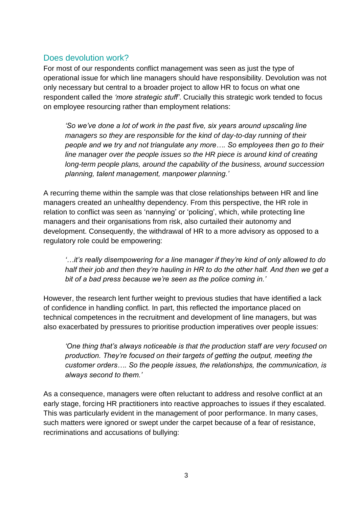#### Does devolution work?

For most of our respondents conflict management was seen as just the type of operational issue for which line managers should have responsibility. Devolution was not only necessary but central to a broader project to allow HR to focus on what one respondent called the *'more strategic stuff'*. Crucially this strategic work tended to focus on employee resourcing rather than employment relations:

*'So we've done a lot of work in the past five, six years around upscaling line managers so they are responsible for the kind of day-to-day running of their people and we try and not triangulate any more…. So employees then go to their line manager over the people issues so the HR piece is around kind of creating long-term people plans, around the capability of the business, around succession planning, talent management, manpower planning.'*

A recurring theme within the sample was that close relationships between HR and line managers created an unhealthy dependency. From this perspective, the HR role in relation to conflict was seen as 'nannying' or 'policing', which, while protecting line managers and their organisations from risk, also curtailed their autonomy and development. Consequently, the withdrawal of HR to a more advisory as opposed to a regulatory role could be empowering:

*'…it's really disempowering for a line manager if they're kind of only allowed to do half their job and then they're hauling in HR to do the other half. And then we get a bit of a bad press because we're seen as the police coming in.'* 

However, the research lent further weight to previous studies that have identified a lack of confidence in handling conflict. In part, this reflected the importance placed on technical competences in the recruitment and development of line managers, but was also exacerbated by pressures to prioritise production imperatives over people issues:

*'One thing that's always noticeable is that the production staff are very focused on production. They're focused on their targets of getting the output, meeting the customer orders…. So the people issues, the relationships, the communication, is always second to them.'* 

As a consequence, managers were often reluctant to address and resolve conflict at an early stage, forcing HR practitioners into reactive approaches to issues if they escalated. This was particularly evident in the management of poor performance. In many cases, such matters were ignored or swept under the carpet because of a fear of resistance, recriminations and accusations of bullying: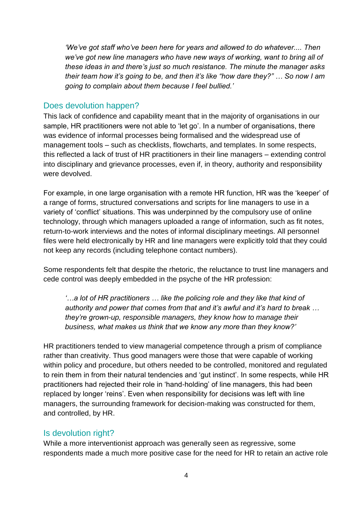*'We've got staff who've been here for years and allowed to do whatever.... Then we've got new line managers who have new ways of working, want to bring all of these ideas in and there's just so much resistance. The minute the manager asks their team how it's going to be, and then it's like "how dare they?" … So now I am going to complain about them because I feel bullied.'* 

#### Does devolution happen?

This lack of confidence and capability meant that in the majority of organisations in our sample, HR practitioners were not able to 'let go'. In a number of organisations, there was evidence of informal processes being formalised and the widespread use of management tools – such as checklists, flowcharts, and templates. In some respects, this reflected a lack of trust of HR practitioners in their line managers – extending control into disciplinary and grievance processes, even if, in theory, authority and responsibility were devolved.

For example, in one large organisation with a remote HR function, HR was the 'keeper' of a range of forms, structured conversations and scripts for line managers to use in a variety of 'conflict' situations. This was underpinned by the compulsory use of online technology, through which managers uploaded a range of information, such as fit notes, return-to-work interviews and the notes of informal disciplinary meetings. All personnel files were held electronically by HR and line managers were explicitly told that they could not keep any records (including telephone contact numbers).

Some respondents felt that despite the rhetoric, the reluctance to trust line managers and cede control was deeply embedded in the psyche of the HR profession:

*'…a lot of HR practitioners … like the policing role and they like that kind of authority and power that comes from that and it's awful and it's hard to break … they're grown-up, responsible managers, they know how to manage their business, what makes us think that we know any more than they know?'* 

HR practitioners tended to view managerial competence through a prism of compliance rather than creativity. Thus good managers were those that were capable of working within policy and procedure, but others needed to be controlled, monitored and regulated to rein them in from their natural tendencies and 'gut instinct'. In some respects, while HR practitioners had rejected their role in 'hand-holding' of line managers, this had been replaced by longer 'reins'. Even when responsibility for decisions was left with line managers, the surrounding framework for decision-making was constructed for them, and controlled, by HR.

#### Is devolution right?

While a more interventionist approach was generally seen as regressive, some respondents made a much more positive case for the need for HR to retain an active role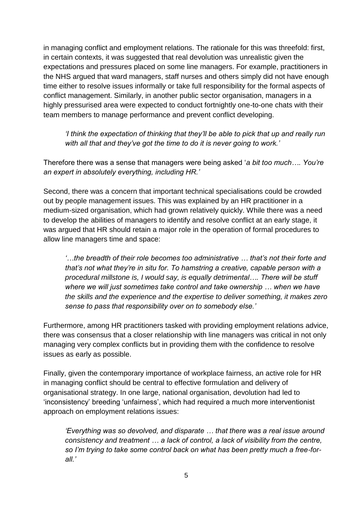in managing conflict and employment relations. The rationale for this was threefold: first, in certain contexts, it was suggested that real devolution was unrealistic given the expectations and pressures placed on some line managers. For example, practitioners in the NHS argued that ward managers, staff nurses and others simply did not have enough time either to resolve issues informally or take full responsibility for the formal aspects of conflict management. Similarly, in another public sector organisation, managers in a highly pressurised area were expected to conduct fortnightly one-to-one chats with their team members to manage performance and prevent conflict developing.

*'I think the expectation of thinking that they'll be able to pick that up and really run with all that and they've got the time to do it is never going to work.'* 

Therefore there was a sense that managers were being asked '*a bit too much…. You're an expert in absolutely everything, including HR.'* 

Second, there was a concern that important technical specialisations could be crowded out by people management issues. This was explained by an HR practitioner in a medium-sized organisation, which had grown relatively quickly. While there was a need to develop the abilities of managers to identify and resolve conflict at an early stage, it was argued that HR should retain a major role in the operation of formal procedures to allow line managers time and space:

*'…the breadth of their role becomes too administrative … that's not their forte and that's not what they're in situ for. To hamstring a creative, capable person with a procedural millstone is, I would say, is equally detrimental…. There will be stuff where we will just sometimes take control and take ownership … when we have the skills and the experience and the expertise to deliver something, it makes zero sense to pass that responsibility over on to somebody else.'* 

Furthermore, among HR practitioners tasked with providing employment relations advice, there was consensus that a closer relationship with line managers was critical in not only managing very complex conflicts but in providing them with the confidence to resolve issues as early as possible.

Finally, given the contemporary importance of workplace fairness, an active role for HR in managing conflict should be central to effective formulation and delivery of organisational strategy. In one large, national organisation, devolution had led to 'inconsistency' breeding 'unfairness', which had required a much more interventionist approach on employment relations issues:

*'Everything was so devolved, and disparate … that there was a real issue around consistency and treatment … a lack of control, a lack of visibility from the centre, so I'm trying to take some control back on what has been pretty much a free-forall.'*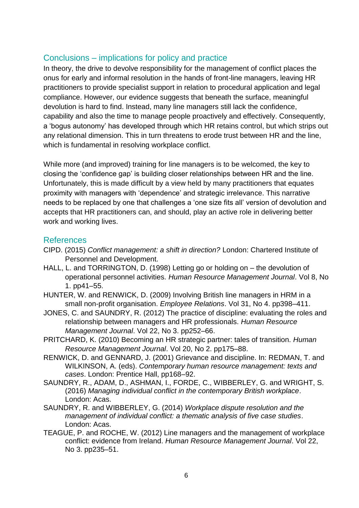#### Conclusions – implications for policy and practice

In theory, the drive to devolve responsibility for the management of conflict places the onus for early and informal resolution in the hands of front-line managers, leaving HR practitioners to provide specialist support in relation to procedural application and legal compliance. However, our evidence suggests that beneath the surface, meaningful devolution is hard to find. Instead, many line managers still lack the confidence, capability and also the time to manage people proactively and effectively. Consequently, a 'bogus autonomy' has developed through which HR retains control, but which strips out any relational dimension. This in turn threatens to erode trust between HR and the line, which is fundamental in resolving workplace conflict.

While more (and improved) training for line managers is to be welcomed, the key to closing the 'confidence gap' is building closer relationships between HR and the line. Unfortunately, this is made difficult by a view held by many practitioners that equates proximity with managers with 'dependence' and strategic irrelevance. This narrative needs to be replaced by one that challenges a 'one size fits all' version of devolution and accepts that HR practitioners can, and should, play an active role in delivering better work and working lives.

#### References

- CIPD. (2015) *Conflict management: a shift in direction?* London: Chartered Institute of Personnel and Development.
- HALL, L. and TORRINGTON, D. (1998) Letting go or holding on the devolution of operational personnel activities. *Human Resource Management Journal*. Vol 8, No 1. pp41–55.
- HUNTER, W. and RENWICK, D. (2009) Involving British line managers in HRM in a small non-profit organisation. *Employee Relations*. Vol 31, No 4. pp398–411.
- JONES, C. and SAUNDRY, R. (2012) The practice of discipline: evaluating the roles and relationship between managers and HR professionals. *Human Resource Management Journal*. Vol 22, No 3. pp252–66.
- PRITCHARD, K. (2010) Becoming an HR strategic partner: tales of transition. *Human Resource Management Journal*. Vol 20, No 2. pp175–88.
- RENWICK, D. and GENNARD, J. (2001) Grievance and discipline. In: REDMAN, T. and WILKINSON, A. (eds). *Contemporary human resource management: texts and cases*. London: Prentice Hall, pp168–92.
- SAUNDRY, R., ADAM, D., ASHMAN, I., FORDE, C., WIBBERLEY, G. and WRIGHT, S. (2016) *Managing individual conflict in the contemporary British workplace*. London: Acas.
- SAUNDRY, R. and WIBBERLEY, G. (2014) *Workplace dispute resolution and the management of individual conflict: a thematic analysis of five case studies*. London: Acas.
- TEAGUE, P. and ROCHE, W. (2012) Line managers and the management of workplace conflict: evidence from Ireland. *Human Resource Management Journal*. Vol 22, No 3. pp235–51.